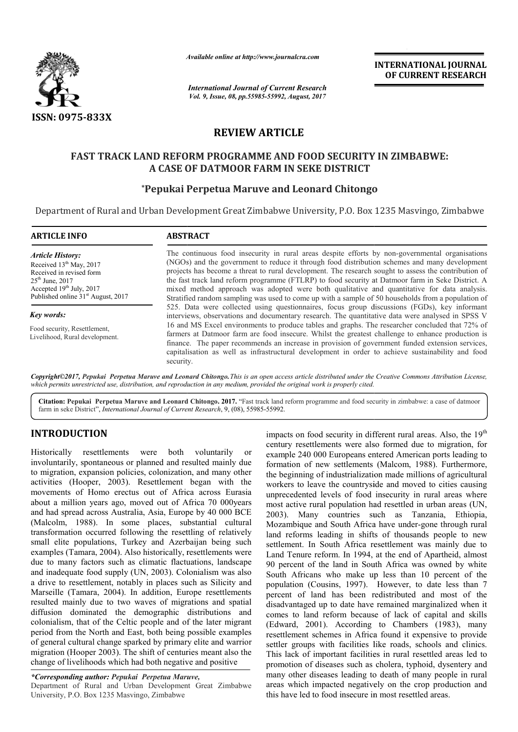

*Available online at http://www.journal http://www.journalcra.com*

*International Journal of Current Research Vol. 9, Issue, 08, pp.55985-55992, August, 2017*

**INTERNATIONAL JOURNAL OF CURRENT RESEARCH** 

# **REVIEW ARTICLE**

# **FAST TRACK LAND REFORM PROGRAMME AND FOOD SECURITY IN ZIMBABWE ZIMBABWE: A CASE OF DATMOOR FARM IN SEKE DISTRICT**

# **\*Pepukai Perpetua Maruve and Leonard Chitongo**

Department of Rural and Urban Development Great Zimbabwe University, P.O. Box 1235 Masvingo, Zimbabwe

| <b>ARTICLE INFO</b>                                                                                                                                                                                     | <b>ABSTRACT</b>                                                                                                                                                                                                                                                                                                                                                                                                                                                                                                                                                                                                                                                                                                                                                                                                                                                                                                                                                                                                                                                                                                                                                                                                                                     |  |
|---------------------------------------------------------------------------------------------------------------------------------------------------------------------------------------------------------|-----------------------------------------------------------------------------------------------------------------------------------------------------------------------------------------------------------------------------------------------------------------------------------------------------------------------------------------------------------------------------------------------------------------------------------------------------------------------------------------------------------------------------------------------------------------------------------------------------------------------------------------------------------------------------------------------------------------------------------------------------------------------------------------------------------------------------------------------------------------------------------------------------------------------------------------------------------------------------------------------------------------------------------------------------------------------------------------------------------------------------------------------------------------------------------------------------------------------------------------------------|--|
| <b>Article History:</b><br>Received 13 <sup>th</sup> May, 2017<br>Received in revised form<br>$25^{\text{th}}$ June, 2017<br>Accepted 19th July, 2017<br>Published online 31 <sup>st</sup> August, 2017 | The continuous food insecurity in rural areas despite efforts by non-governmental organisations<br>(NGOs) and the government to reduce it through food distribution schemes and many development<br>projects has become a threat to rural development. The research sought to assess the contribution of<br>the fast track land reform programme (FTLRP) to food security at Datmoor farm in Seke District. A<br>mixed method approach was adopted were both qualitative and quantitative for data analysis.<br>Stratified random sampling was used to come up with a sample of 50 households from a population of<br>525. Data were collected using questionnaires, focus group discussions (FGDs), key informant<br>interviews, observations and documentary research. The quantitative data were analysed in SPSS V<br>16 and MS Excel environments to produce tables and graphs. The researcher concluded that 72% of<br>farmers at Datmoor farm are food insecure. Whilst the greatest challenge to enhance production is<br>finance. The paper recommends an increase in provision of government funded extension services,<br>capitalisation as well as infrastructural development in order to achieve sustainability and food<br>security. |  |
| Key words:                                                                                                                                                                                              |                                                                                                                                                                                                                                                                                                                                                                                                                                                                                                                                                                                                                                                                                                                                                                                                                                                                                                                                                                                                                                                                                                                                                                                                                                                     |  |
| Food security, Resettlement,<br>Livelihood, Rural development.                                                                                                                                          |                                                                                                                                                                                                                                                                                                                                                                                                                                                                                                                                                                                                                                                                                                                                                                                                                                                                                                                                                                                                                                                                                                                                                                                                                                                     |  |

*Copyright©2017, Pepukai Perpetua Maruve and Leonard Chitongo Chitongo.This is an open access article distributed under the Creative Commons Att is Attribution License,*  which permits unrestricted use, distribution, and reproduction in any medium, provided the original work is properly cited.

Citation: Pepukai Perpetua Maruve and Leonard Chitongo. 2017. "Fast track land reform programme and food security in zimbabwe: a case of datmoor farm in seke District", *International Journal of Current Research* , 9, (08), 55985-55992.

# **INTRODUCTION**

Historically resettlements were both voluntarily or involuntarily, spontaneous or planned and resulted mainly due to migration, expansion policies, colonization, and many other activities (Hooper, 2003). Resettlement began with the movements of Homo erectus out of Africa across Eurasia about a million years ago, moved out of Africa 70 000years and had spread across Australia, Asia, Europe by 40 000 BCE (Malcolm, 1988). In some places, substantial cultural transformation occurred following the resettling of relatively small elite populations, Turkey and Azerbaijan being such examples (Tamara, 2004). Also historically, resettlements were due to many factors such as climatic flactuations, landscape and inadequate food supply (UN, 2003). Colonialism was also a drive to resettlement, notably in places such as Silicity and Marseille (Tamara, 2004). In addition, Europe resettlements resulted mainly due to two waves of migrations and spatial diffusion dominated the demographic distributions and colonialism, that of the Celtic people and of the later migrant period from the North and East, both being possible examples of general cultural change sparked by primary elite and warrior migration (Hooper 2003). The shift of centuries meant also the change of livelihoods which had both negative and positive y, resettlements were<br>actuations, landscape<br>Colonialism was also<br>such as Silicity and<br>Europe resettlements

*\*Corresponding author: Pepukai Perpetua Maruve Maruve,*

Department of Rural and Urban Development Great Zimbabwe University, P.O. Box 1235 Masvingo, Zimbabwe

impacts on frond security in different trual areas. Also, the 19<br>recent vertex or food security in different trual areas. Also, the 19<br>respectively, contrasting circles, colonization, and many other the beginning of indust century resettlements were also formed due to migration, for century resettlements were also formed due to migration, for example 240 000 Europeans entered American ports leading to formation of new settlements (Malcom, 1988). Furthermore, the beginning of industrialization made millions of agricultural workers to leave the countryside and moved to cities causing unprecedented levels of food insecurity in rural areas where most active rural population had resettled in urban areas (UN, 2003). Many countries such as Tanzania, Ethiopia, Mozambique and South Africa have under-gone through rural land reforms leading in shifts of thousands people to new settlement. In South Africa resettlement was mainly due to Land Tenure reform. In 1994, at the end of Apartheid, almost 90 percent of the land in South Africa was owned by white South Africans who make up less than 10 percent of the land reforms leading in shifts of thousands people to new settlement. In South Africa resettlement was mainly due to Land Tenure reform. In 1994, at the end of Apartheid, almost 90 percent of the land in South Africa was o percent of land has been redistributed and most of the disadvantaged up to date have remained marginalized when it comes to land reform because of lack of capital and skills (Edward, 2001). According to Chambers (1983), many resettlement schemes in Africa found it expensive to provide settler groups with facilities like roads, schools and clinics. This lack of important facilities in rural resettled areas led to promotion of diseases such as cholera, typhoid, dysentery and many other diseases leading to death of many people in rural areas which impacted negatively on the crop production and this have led to food insecure in most resettled areas. impacts on food security in different rural areas. Also, the  $19<sup>th</sup>$ formation of new settlements (Malcom, 1988). Furthermore, the beginning of industrialization made millions of agricultural workers to leave the countryside and moved to cities causing unprecedented levels of food insecurit **EXERCT TONAL JOURNAL FORMAL TONAL JOURNAL FORMAL TONENT THE CONSTRIPT THE CONSTRIPTED (THE CONSTRIPTED) THE CONSTRIPTED (CLEE UP to CHAMBER CONSTRIPTED (CLEE TO CHAMBER CONSTRIPTED (CLEE TO CONSTRIPTED (CLEE TO CONSTRIPT**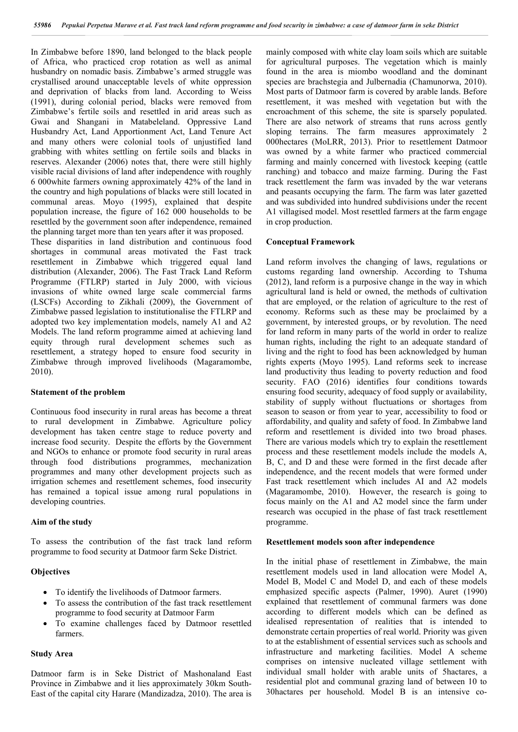In Zimbabwe before 1890, land belonged to the black people of Africa, who practiced crop rotation as well as animal husbandry on nomadic basis. Zimbabwe's armed struggle was crystallised around unacceptable levels of white oppression and deprivation of blacks from land. According to Weiss (1991), during colonial period, blacks were removed from Zimbabwe's fertile soils and resettled in arid areas such as Gwai and Shangani in Matabeleland. Oppressive Land Husbandry Act, Land Apportionment Act, Land Tenure Act and many others were colonial tools of unjustified land grabbing with whites settling on fertile soils and blacks in reserves. Alexander (2006) notes that, there were still highly visible racial divisions of land after independence with roughly 6 000white farmers owning approximately 42% of the land in the country and high populations of blacks were still located in communal areas. Moyo (1995), explained that despite population increase, the figure of 162 000 households to be resettled by the government soon after independence, remained the planning target more than ten years after it was proposed.

These disparities in land distribution and continuous food shortages in communal areas motivated the Fast track resettlement in Zimbabwe which triggered equal land distribution (Alexander, 2006). The Fast Track Land Reform Programme (FTLRP) started in July 2000, with vicious invasions of white owned large scale commercial farms (LSCFs) According to Zikhali (2009), the Government of Zimbabwe passed legislation to institutionalise the FTLRP and adopted two key implementation models, namely A1 and A2 Models. The land reform programme aimed at achieving land equity through rural development schemes such as resettlement, a strategy hoped to ensure food security in Zimbabwe through improved livelihoods (Magaramombe, 2010).

#### **Statement of the problem**

Continuous food insecurity in rural areas has become a threat to rural development in Zimbabwe. Agriculture policy development has taken centre stage to reduce poverty and increase food security. Despite the efforts by the Government and NGOs to enhance or promote food security in rural areas through food distributions programmes, mechanization programmes and many other development projects such as irrigation schemes and resettlement schemes, food insecurity has remained a topical issue among rural populations in developing countries.

#### **Aim of the study**

To assess the contribution of the fast track land reform programme to food security at Datmoor farm Seke District.

#### **Objectives**

- To identify the livelihoods of Datmoor farmers.
- To assess the contribution of the fast track resettlement programme to food security at Datmoor Farm
- To examine challenges faced by Datmoor resettled farmers.

### **Study Area**

Datmoor farm is in Seke District of Mashonaland East Province in Zimbabwe and it lies approximately 30km South-East of the capital city Harare (Mandizadza, 2010). The area is mainly composed with white clay loam soils which are suitable for agricultural purposes. The vegetation which is mainly found in the area is miombo woodland and the dominant species are brachstegia and Julbernadia (Chamunorwa, 2010). Most parts of Datmoor farm is covered by arable lands. Before resettlement, it was meshed with vegetation but with the encroachment of this scheme, the site is sparsely populated. There are also network of streams that runs across gently sloping terrains. The farm measures approximately 2 000hectares (MoLRR, 2013). Prior to resettlement Datmoor was owned by a white farmer who practiced commercial farming and mainly concerned with livestock keeping (cattle ranching) and tobacco and maize farming. During the Fast track resettlement the farm was invaded by the war veterans and peasants occupying the farm. The farm was later gazetted and was subdivided into hundred subdivisions under the recent A1 villagised model. Most resettled farmers at the farm engage in crop production.

#### **Conceptual Framework**

Land reform involves the changing of laws, regulations or customs regarding land ownership. According to Tshuma (2012), land reform is a purposive change in the way in which agricultural land is held or owned, the methods of cultivation that are employed, or the relation of agriculture to the rest of economy. Reforms such as these may be proclaimed by a government, by interested groups, or by revolution. The need for land reform in many parts of the world in order to realize human rights, including the right to an adequate standard of living and the right to food has been acknowledged by human rights experts (Moyo 1995). Land reforms seek to increase land productivity thus leading to poverty reduction and food security. FAO (2016) identifies four conditions towards ensuring food security, adequacy of food supply or availability, stability of supply without fluctuations or shortages from season to season or from year to year, accessibility to food or affordability, and quality and safety of food. In Zimbabwe land reform and resettlement is divided into two broad phases. There are various models which try to explain the resettlement process and these resettlement models include the models A, B, C, and D and these were formed in the first decade after independence, and the recent models that were formed under Fast track resettlement which includes AI and A2 models (Magaramombe, 2010). However, the research is going to focus mainly on the A1 and A2 model since the farm under research was occupied in the phase of fast track resettlement programme.

#### **Resettlement models soon after independence**

In the initial phase of resettlement in Zimbabwe, the main resettlement models used in land allocation were Model A, Model B, Model C and Model D, and each of these models emphasized specific aspects (Palmer, 1990). Auret (1990) explained that resettlement of communal farmers was done according to different models which can be defined as idealised representation of realities that is intended to demonstrate certain properties of real world. Priority was given to at the establishment of essential services such as schools and infrastructure and marketing facilities. Model A scheme comprises on intensive nucleated village settlement with individual small holder with arable units of 5hactares, a residential plot and communal grazing land of between 10 to 30hactares per household. Model B is an intensive co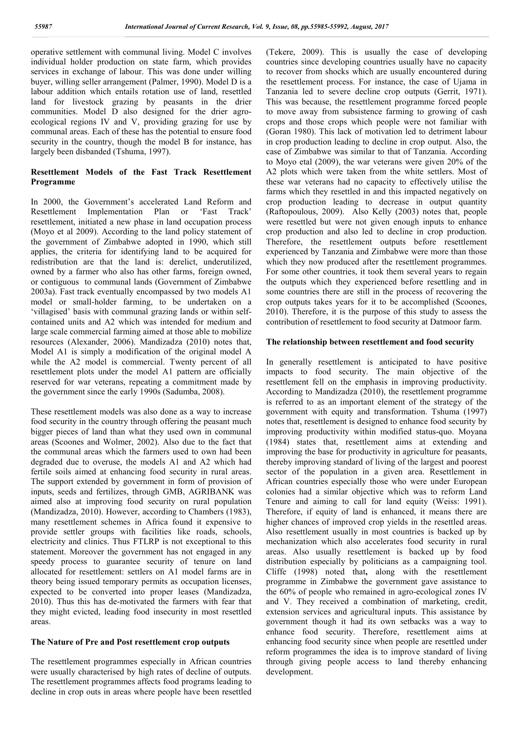operative settlement with communal living. Model C involves individual holder production on state farm, which provides services in exchange of labour. This was done under willing buyer, willing seller arrangement (Palmer, 1990). Model D is a labour addition which entails rotation use of land, resettled land for livestock grazing by peasants in the drier communities. Model D also designed for the drier agroecological regions IV and V, providing grazing for use by communal areas. Each of these has the potential to ensure food security in the country, though the model B for instance, has largely been disbanded (Tshuma, 1997).

# **Resettlement Models of the Fast Track Resettlement Programme**

In 2000, the Government's accelerated Land Reform and Resettlement Implementation Plan or 'Fast Track' resettlement, initiated a new phase in land occupation process (Moyo et al 2009). According to the land policy statement of the government of Zimbabwe adopted in 1990, which still applies, the criteria for identifying land to be acquired for redistribution are that the land is: derelict, underutilized, owned by a farmer who also has other farms, foreign owned, or contiguous to communal lands (Government of Zimbabwe 2003a). Fast track eventually encompassed by two models A1 model or small-holder farming, to be undertaken on a 'villagised' basis with communal grazing lands or within selfcontained units and A2 which was intended for medium and large scale commercial farming aimed at those able to mobilize resources (Alexander, 2006). Mandizadza (2010) notes that, Model A1 is simply a modification of the original model A while the A2 model is commercial. Twenty percent of all resettlement plots under the model A1 pattern are officially reserved for war veterans, repeating a commitment made by the government since the early 1990s (Sadumba, 2008).

These resettlement models was also done as a way to increase food security in the country through offering the peasant much bigger pieces of land than what they used own in communal areas (Scoones and Wolmer, 2002). Also due to the fact that the communal areas which the farmers used to own had been degraded due to overuse, the models A1 and A2 which had fertile soils aimed at enhancing food security in rural areas. The support extended by government in form of provision of inputs, seeds and fertilizes, through GMB, AGRIBANK was aimed also at improving food security on rural population (Mandizadza, 2010). However, according to Chambers (1983), many resettlement schemes in Africa found it expensive to provide settler groups with facilities like roads, schools, electricity and clinics. Thus FTLRP is not exceptional to this statement. Moreover the government has not engaged in any speedy process to guarantee security of tenure on land allocated for resettlement: settlers on A1 model farms are in theory being issued temporary permits as occupation licenses, expected to be converted into proper leases (Mandizadza, 2010). Thus this has de-motivated the farmers with fear that they might evicted, leading food insecurity in most resettled areas.

## **The Nature of Pre and Post resettlement crop outputs**

The resettlement programmes especially in African countries were usually characterised by high rates of decline of outputs. The resettlement programmes affects food programs leading to decline in crop outs in areas where people have been resettled (Tekere, 2009). This is usually the case of developing countries since developing countries usually have no capacity to recover from shocks which are usually encountered during the resettlement process. For instance, the case of Ujama in Tanzania led to severe decline crop outputs (Gerrit, 1971). This was because, the resettlement programme forced people to move away from subsistence farming to growing of cash crops and those crops which people were not familiar with (Goran 1980). This lack of motivation led to detriment labour in crop production leading to decline in crop output. Also, the case of Zimbabwe was similar to that of Tanzania. According to Moyo etal (2009), the war veterans were given 20% of the A2 plots which were taken from the white settlers. Most of these war veterans had no capacity to effectively utilise the farms which they resettled in and this impacted negatively on crop production leading to decrease in output quantity (Raftopoulous, 2009). Also Kelly (2003) notes that, people were resettled but were not given enough inputs to enhance crop production and also led to decline in crop production. Therefore, the resettlement outputs before resettlement experienced by Tanzania and Zimbabwe were more than those which they now produced after the resettlement programmes. For some other countries, it took them several years to regain the outputs which they experienced before resettling and in some countries there are still in the process of recovering the crop outputs takes years for it to be accomplished (Scoones, 2010). Therefore, it is the purpose of this study to assess the contribution of resettlement to food security at Datmoor farm.

## **The relationship between resettlement and food security**

In generally resettlement is anticipated to have positive impacts to food security. The main objective of the resettlement fell on the emphasis in improving productivity. According to Mandizadza (2010), the resettlement programme is referred to as an important element of the strategy of the government with equity and transformation. Tshuma (1997) notes that, resettlement is designed to enhance food security by improving productivity within modified status-quo. Moyana (1984) states that, resettlement aims at extending and improving the base for productivity in agriculture for peasants, thereby improving standard of living of the largest and poorest sector of the population in a given area. Resettlement in African countries especially those who were under European colonies had a similar objective which was to reform Land Tenure and aiming to call for land equity (Weiss: 1991). Therefore, if equity of land is enhanced, it means there are higher chances of improved crop yields in the resettled areas. Also resettlement usually in most countries is backed up by mechanization which also accelerates food security in rural areas. Also usually resettlement is backed up by food distribution especially by politicians as a campaigning tool. Cliffe (1998) noted that**,** along with the resettlement programme in Zimbabwe the government gave assistance to the 60% of people who remained in agro-ecological zones IV and V. They received a combination of marketing, credit, extension services and agricultural inputs. This assistance by government though it had its own setbacks was a way to enhance food security. Therefore, resettlement aims at enhancing food security since when people are resettled under reform programmes the idea is to improve standard of living through giving people access to land thereby enhancing development.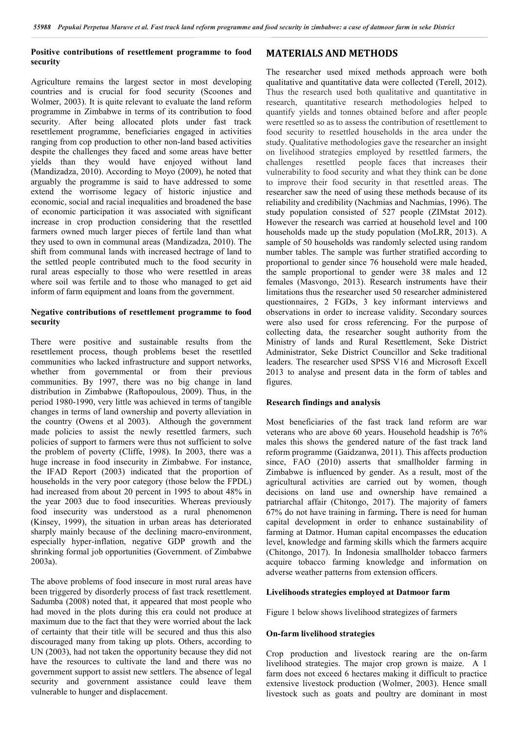## **Positive contributions of resettlement programme to food security**

Agriculture remains the largest sector in most developing countries and is crucial for food security (Scoones and Wolmer, 2003). It is quite relevant to evaluate the land reform programme in Zimbabwe in terms of its contribution to food security. After being allocated plots under fast track resettlement programme, beneficiaries engaged in activities ranging from cop production to other non-land based activities despite the challenges they faced and some areas have better yields than they would have enjoyed without land (Mandizadza, 2010). According to Moyo (2009), he noted that arguably the programme is said to have addressed to some extend the worrisome legacy of historic injustice and economic, social and racial inequalities and broadened the base of economic participation it was associated with significant increase in crop production considering that the resettled farmers owned much larger pieces of fertile land than what they used to own in communal areas (Mandizadza, 2010). The shift from communal lands with increased hectrage of land to the settled people contributed much to the food security in rural areas especially to those who were resettled in areas where soil was fertile and to those who managed to get aid inform of farm equipment and loans from the government.

### **Negative contributions of resettlement programme to food security**

There were positive and sustainable results from the resettlement process, though problems beset the resettled communities who lacked infrastructure and support networks, whether from governmental or from their previous communities. By 1997, there was no big change in land distribution in Zimbabwe (Raftopoulous, 2009). Thus, in the period 1980-1990, very little was achieved in terms of tangible changes in terms of land ownership and poverty alleviation in the country (Owens et al 2003). Although the government made policies to assist the newly resettled farmers, such policies of support to farmers were thus not sufficient to solve the problem of poverty (Cliffe, 1998). In 2003, there was a huge increase in food insecurity in Zimbabwe. For instance, the IFAD Report (2003) indicated that the proportion of households in the very poor category (those below the FPDL) had increased from about 20 percent in 1995 to about 48% in the year 2003 due to food insecurities. Whereas previously food insecurity was understood as a rural phenomenon (Kinsey, 1999), the situation in urban areas has deteriorated sharply mainly because of the declining macro-environment, especially hyper-inflation, negative GDP growth and the shrinking formal job opportunities (Government. of Zimbabwe 2003a).

The above problems of food insecure in most rural areas have been triggered by disorderly process of fast track resettlement. Sadumba (2008) noted that, it appeared that most people who had moved in the plots during this era could not produce at maximum due to the fact that they were worried about the lack of certainty that their title will be secured and thus this also discouraged many from taking up plots. Others, according to UN (2003), had not taken the opportunity because they did not have the resources to cultivate the land and there was no government support to assist new settlers. The absence of legal security and government assistance could leave them vulnerable to hunger and displacement.

# **MATERIALS AND METHODS**

The researcher used mixed methods approach were both qualitative and quantitative data were collected (Terell, 2012). Thus the research used both qualitative and quantitative in research, quantitative research methodologies helped to quantify yields and tonnes obtained before and after people were resettled so as to assess the contribution of resettlement to food security to resettled households in the area under the study. Qualitative methodologies gave the researcher an insight on livelihood strategies employed by resettled farmers, the challenges resettled people faces that increases their resettled people faces that increases their vulnerability to food security and what they think can be done to improve their food security in that resettled areas. The researcher saw the need of using these methods because of its reliability and credibility (Nachmias and Nachmias, 1996). The study population consisted of 527 people (ZIMstat 2012). However the research was carried at household level and 100 households made up the study population (MoLRR, 2013). A sample of 50 households was randomly selected using random number tables. The sample was further stratified according to proportional to gender since 76 household were male headed, the sample proportional to gender were 38 males and 12 females (Masvongo, 2013). Research instruments have their limitations thus the researcher used 50 researcher administered questionnaires, 2 FGDs, 3 key informant interviews and observations in order to increase validity. Secondary sources were also used for cross referencing. For the purpose of collecting data, the researcher sought authority from the Ministry of lands and Rural Resettlement, Seke District Administrator, Seke District Councillor and Seke traditional leaders. The researcher used SPSS V16 and Microsoft Excell 2013 to analyse and present data in the form of tables and figures.

## **Research findings and analysis**

Most beneficiaries of the fast track land reform are war veterans who are above 60 years. Household headship is 76% males this shows the gendered nature of the fast track land reform programme (Gaidzanwa, 2011). This affects production since, FAO (2010) asserts that smallholder farming in Zimbabwe is influenced by gender. As a result, most of the agricultural activities are carried out by women, though decisions on land use and ownership have remained a patriarchal affair (Chitongo, 2017). The majority of famers 67% do not have training in farming**.** There is need for human capital development in order to enhance sustainability of farming at Datmor. Human capital encompasses the education level, knowledge and farming skills which the farmers acquire (Chitongo, 2017). In Indonesia smallholder tobacco farmers acquire tobacco farming knowledge and information on adverse weather patterns from extension officers.

#### **Livelihoods strategies employed at Datmoor farm**

Figure 1 below shows livelihood strategizes of farmers

#### **On-farm livelihood strategies**

Crop production and livestock rearing are the on-farm livelihood strategies. The major crop grown is maize. A 1 farm does not exceed 6 hectares making it difficult to practice extensive livestock production (Wolmer, 2003). Hence small livestock such as goats and poultry are dominant in most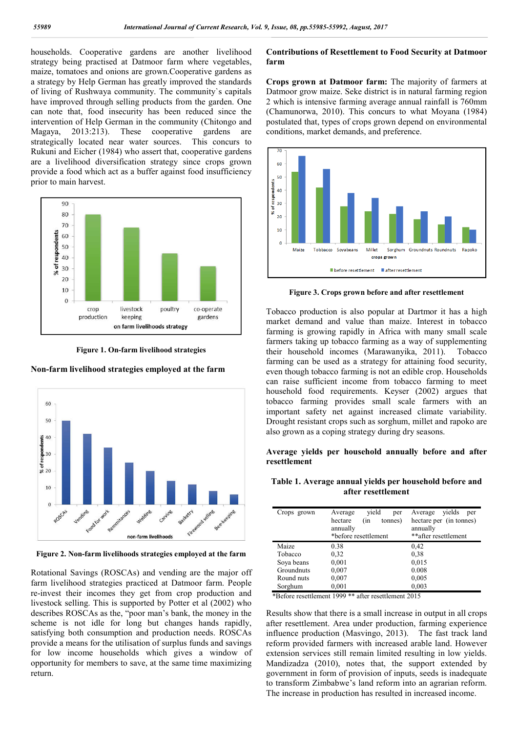households. Cooperative gardens are another livelihood strategy being practised at Datmoor farm where vegetables, maize, tomatoes and onions are grown.Cooperative gardens as a strategy by Help German has greatly improved the standards of living of Rushwaya community. The community`s capitals have improved through selling products from the garden. One can note that, food insecurity has been reduced since the intervention of Help German in the community (Chitongo and Magaya, 2013:213). These cooperative gardens are strategically located near water sources. This concurs to Rukuni and Eicher (1984) who assert that, cooperative gardens are a livelihood diversification strategy since crops grown provide a food which act as a buffer against food insufficiency prior to main harvest.



**Figure 1. On-farm livelihood strategies**

## **Non-farm livelihood strategies employed at the farm**



**Figure 2. Non-farm livelihoods strategies employed at the farm**

Rotational Savings (ROSCAs) and vending are the major off farm livelihood strategies practiced at Datmoor farm. People re-invest their incomes they get from crop production and livestock selling. This is supported by Potter et al (2002) who describes ROSCAs as the, "poor man's bank, the money in the scheme is not idle for long but changes hands rapidly, satisfying both consumption and production needs. ROSCAs provide a means for the utilisation of surplus funds and savings for low income households which gives a window of opportunity for members to save, at the same time maximizing return.

## **Contributions of Resettlement to Food Security at Datmoor farm**

**Crops grown at Datmoor farm:** The majority of farmers at Datmoor grow maize. Seke district is in natural farming region 2 which is intensive farming average annual rainfall is 760mm (Chamunorwa, 2010). This concurs to what Moyana (1984) postulated that, types of crops grown depend on environmental conditions, market demands, and preference.



**Figure 3. Crops grown before and after resettlement**

Tobacco production is also popular at Dartmor it has a high market demand and value than maize. Interest in tobacco farming is growing rapidly in Africa with many small scale farmers taking up tobacco farming as a way of supplementing their household incomes (Marawanyika, 2011). Tobacco farming can be used as a strategy for attaining food security, even though tobacco farming is not an edible crop. Households can raise sufficient income from tobacco farming to meet household food requirements. Keyser (2002) argues that tobacco farming provides small scale farmers with an important safety net against increased climate variability. Drought resistant crops such as sorghum, millet and rapoko are also grown as a coping strategy during dry seasons.

## **Average yields per household annually before and after resettlement**

**Table 1. Average annual yields per household before and after resettlement**

| Crops grown | vield<br>Average<br>per   | vields<br>Average<br>per |
|-------------|---------------------------|--------------------------|
|             | hectare<br>tonnes)<br>(in | hectare per (in tonnes)  |
|             | annually                  | annually                 |
|             | *before resettlement      | **after resettlement     |
| Maize       | 0.38                      | 0,42                     |
| Tobacco     | 0.32                      | 0.38                     |
| Soya beans  | 0,001                     | 0,015                    |
| Groundnuts  | 0,007                     | 0.008                    |
| Round nuts  | 0,007                     | 0,005                    |
| Sorghum     | 0,001                     | 0,003                    |

\*Before resettlement 1999 \*\* after resettlement 2015

Results show that there is a small increase in output in all crops after resettlement. Area under production, farming experience influence production (Masvingo, 2013). The fast track land reform provided farmers with increased arable land. However extension services still remain limited resulting in low yields. Mandizadza (2010), notes that, the support extended by government in form of provision of inputs, seeds is inadequate to transform Zimbabwe's land reform into an agrarian reform. The increase in production has resulted in increased income.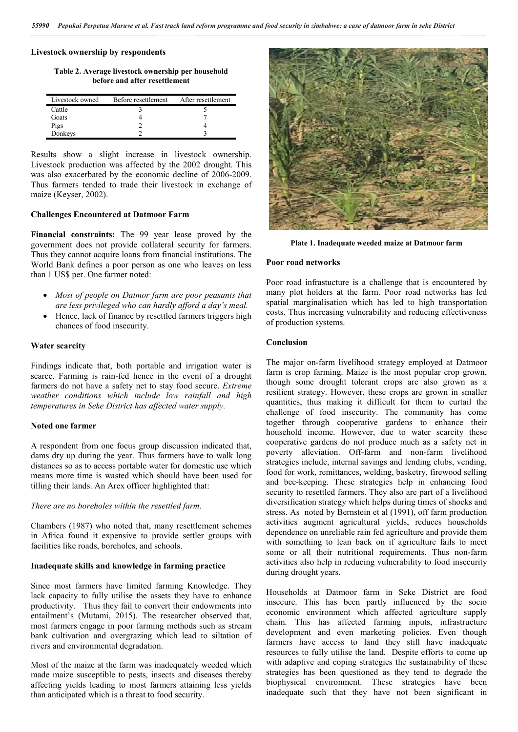## **Livestock ownership by respondents**

**Table 2. Average livestock ownership per household before and after resettlement**

| Livestock owned | Before resettlement | After resettlement |
|-----------------|---------------------|--------------------|
| Cattle          |                     |                    |
| Goats           |                     |                    |
| Pigs            |                     |                    |
| Donkeys         |                     |                    |

Results show a slight increase in livestock ownership. Livestock production was affected by the 2002 drought. This was also exacerbated by the economic decline of 2006-2009. Thus farmers tended to trade their livestock in exchange of maize (Keyser, 2002).

## **Challenges Encountered at Datmoor Farm**

**Financial constraints:** The 99 year lease proved by the government does not provide collateral security for farmers. Thus they cannot acquire loans from financial institutions. The World Bank defines a poor person as one who leaves on less than 1 US\$ per. One farmer noted:

- *Most of people on Datmor farm are poor peasants that are less privileged who can hardly afford a day's meal.*
- Hence, lack of finance by resettled farmers triggers high chances of food insecurity.

#### **Water scarcity**

Findings indicate that, both portable and irrigation water is scarce. Farming is rain-fed hence in the event of a drought farmers do not have a safety net to stay food secure. *Extreme weather conditions which include low rainfall and high temperatures in Seke District has affected water supply.*

#### **Noted one farmer**

A respondent from one focus group discussion indicated that, dams dry up during the year. Thus farmers have to walk long distances so as to access portable water for domestic use which means more time is wasted which should have been used for tilling their lands. An Arex officer highlighted that:

#### *There are no boreholes within the resettled farm.*

Chambers (1987) who noted that, many resettlement schemes in Africa found it expensive to provide settler groups with facilities like roads, boreholes, and schools.

## **Inadequate skills and knowledge in farming practice**

Since most farmers have limited farming Knowledge. They lack capacity to fully utilise the assets they have to enhance productivity. Thus they fail to convert their endowments into entailment's (Mutami, 2015). The researcher observed that, most farmers engage in poor farming methods such as stream bank cultivation and overgrazing which lead to siltation of rivers and environmental degradation.

Most of the maize at the farm was inadequately weeded which made maize susceptible to pests, insects and diseases thereby affecting yields leading to most farmers attaining less yields than anticipated which is a threat to food security.



**Plate 1. Inadequate weeded maize at Datmoor farm**

### **Poor road networks**

Poor road infrastucture is a challenge that is encountered by many plot holders at the farm. Poor road networks has led spatial marginalisation which has led to high transportation costs. Thus increasing vulnerability and reducing effectiveness of production systems.

#### **Conclusion**

The major on-farm livelihood strategy employed at Datmoor farm is crop farming. Maize is the most popular crop grown, though some drought tolerant crops are also grown as a resilient strategy. However, these crops are grown in smaller quantities, thus making it difficult for them to curtail the challenge of food insecurity. The community has come together through cooperative gardens to enhance their household income. However, due to water scarcity these cooperative gardens do not produce much as a safety net in poverty alleviation. Off-farm and non-farm livelihood strategies include, internal savings and lending clubs, vending, food for work, remittances, welding, basketry, firewood selling and bee-keeping. These strategies help in enhancing food security to resettled farmers. They also are part of a livelihood diversification strategy which helps during times of shocks and stress. As noted by Bernstein et al (1991), off farm production activities augment agricultural yields, reduces households dependence on unreliable rain fed agriculture and provide them with something to lean back on if agriculture fails to meet some or all their nutritional requirements. Thus non-farm activities also help in reducing vulnerability to food insecurity during drought years.

Households at Datmoor farm in Seke District are food insecure. This has been partly influenced by the socio economic environment which affected agriculture supply chain. This has affected farming inputs, infrastructure development and even marketing policies. Even though farmers have access to land they still have inadequate resources to fully utilise the land. Despite efforts to come up with adaptive and coping strategies the sustainability of these strategies has been questioned as they tend to degrade the biophysical environment. These strategies have been inadequate such that they have not been significant in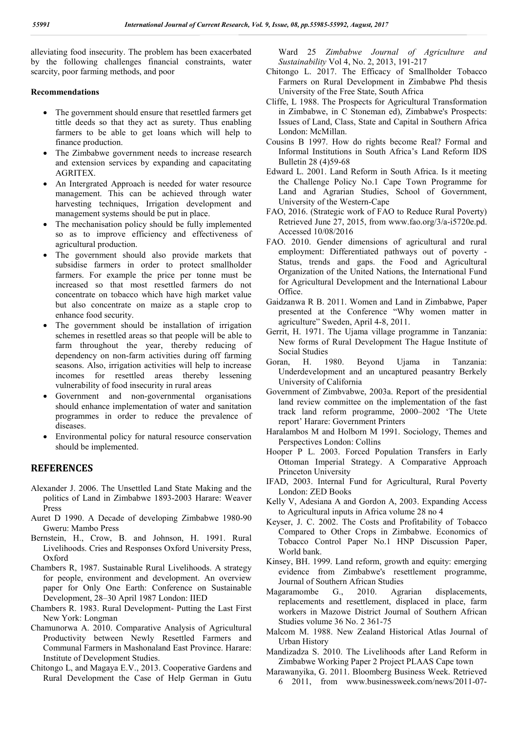alleviating food insecurity. The problem has been exacerbated by the following challenges financial constraints, water scarcity, poor farming methods, and poor

#### **Recommendations**

- The government should ensure that resettled farmers get tittle deeds so that they act as surety. Thus enabling farmers to be able to get loans which will help to finance production.
- The Zimbabwe government needs to increase research and extension services by expanding and capacitating AGRITEX.
- An Intergrated Approach is needed for water resource management. This can be achieved through water harvesting techniques, Irrigation development and management systems should be put in place.
- The mechanisation policy should be fully implemented so as to improve efficiency and effectiveness of agricultural production.
- The government should also provide markets that subsidise farmers in order to protect smallholder farmers. For example the price per tonne must be increased so that most resettled farmers do not concentrate on tobacco which have high market value but also concentrate on maize as a staple crop to enhance food security.
- The government should be installation of irrigation schemes in resettled areas so that people will be able to farm throughout the year, thereby reducing of dependency on non-farm activities during off farming seasons. Also, irrigation activities will help to increase incomes for resettled areas thereby lessening vulnerability of food insecurity in rural areas
- Government and non-governmental organisations should enhance implementation of water and sanitation programmes in order to reduce the prevalence of diseases.
- Environmental policy for natural resource conservation should be implemented.

### **REFERENCES**

- Alexander J. 2006. The Unsettled Land State Making and the politics of Land in Zimbabwe 1893-2003 Harare: Weaver Press
- Auret D 1990. A Decade of developing Zimbabwe 1980-90 Gweru: Mambo Press
- Bernstein, H., Crow, B. and Johnson, H. 1991. Rural Livelihoods. Cries and Responses Oxford University Press, Oxford
- Chambers R, 1987. Sustainable Rural Livelihoods. A strategy for people, environment and development. An overview paper for Only One Earth: Conference on Sustainable Development, 28–30 April 1987 London: IIED
- Chambers R. 1983. Rural Development- Putting the Last First New York: Longman
- Chamunorwa A. 2010. Comparative Analysis of Agricultural Productivity between Newly Resettled Farmers and Communal Farmers in Mashonaland East Province. Harare: Institute of Development Studies.
- Chitongo L, and Magaya E.V., 2013. Cooperative Gardens and Rural Development the Case of Help German in Gutu

Ward 25 *Zimbabwe Journal of Agriculture and Sustainability* Vol 4, No. 2, 2013, 191-217

- Chitongo L. 2017. The Efficacy of Smallholder Tobacco Farmers on Rural Development in Zimbabwe Phd thesis University of the Free State, South Africa
- Cliffe, L 1988. The Prospects for Agricultural Transformation in Zimbabwe, in C Stoneman ed), Zimbabwe's Prospects: Issues of Land, Class, State and Capital in Southern Africa London: McMillan.
- Cousins B 1997. How do rights become Real? Formal and Informal Institutions in South Africa's Land Reform IDS Bulletin 28 (4)59-68
- Edward L. 2001. Land Reform in South Africa. Is it meeting the Challenge Policy No.1 Cape Town Programme for Land and Agrarian Studies, School of Government, University of the Western-Cape
- FAO, 2016. (Strategic work of FAO to Reduce Rural Poverty) Retrieved June 27, 2015, from www.fao.org/3/a-i5720e.pd. Accessed 10/08/2016
- FAO. 2010. Gender dimensions of agricultural and rural employment: Differentiated pathways out of poverty - Status, trends and gaps. the Food and Agricultural Organization of the United Nations, the International Fund for Agricultural Development and the International Labour Office.
- Gaidzanwa R B. 2011. Women and Land in Zimbabwe, Paper presented at the Conference "Why women matter in agriculture" Sweden, April 4-8, 2011.
- Gerrit, H. 1971. The Ujama village programme in Tanzania: New forms of Rural Development The Hague Institute of Social Studies
- Goran, H. 1980. Beyond Ujama in Tanzania: Underdevelopment and an uncaptured peasantry Berkely University of California
- Government of Zimbvabwe, 2003a. Report of the presidential land review committee on the implementation of the fast track land reform programme, 2000–2002 'The Utete report' Harare: Government Printers
- Haralambos M and Holborn M 1991. Sociology, Themes and Perspectives London: Collins
- Hooper P L. 2003. Forced Population Transfers in Early Ottoman Imperial Strategy. A Comparative Approach Princeton University
- IFAD, 2003. Internal Fund for Agricultural, Rural Poverty London: ZED Books
- Kelly V, Adesiana A and Gordon A, 2003. Expanding Access to Agricultural inputs in Africa volume 28 no 4
- Keyser, J. C. 2002. The Costs and Profitability of Tobacco Compared to Other Crops in Zimbabwe. Economics of Tobacco Control Paper No.1 HNP Discussion Paper, World bank.
- Kinsey, BH. 1999. Land reform, growth and equity: emerging evidence from Zimbabwe's resettlement programme, Journal of Southern African Studies
- Magaramombe G., 2010. Agrarian displacements, replacements and resettlement, displaced in place, farm workers in Mazowe District Journal of Southern African Studies volume 36 No. 2 361-75
- Malcom M. 1988. New Zealand Historical Atlas Journal of Urban History
- Mandizadza S. 2010. The Livelihoods after Land Reform in Zimbabwe Working Paper 2 Project PLAAS Cape town
- Marawanyika, G. 2011. Bloomberg Business Week. Retrieved 6 2011, from www.businessweek.com/news/2011-07-